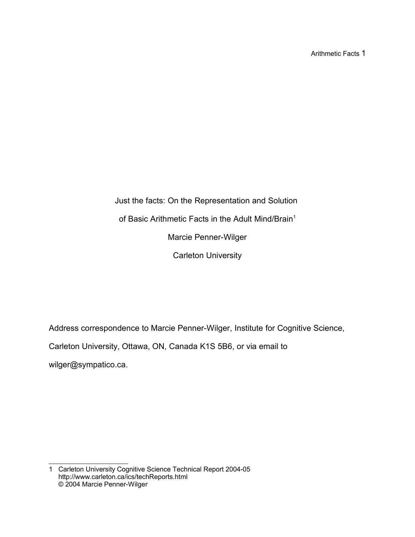Just the facts: On the Representation and Solution of Basic Arithmetic Facts in the Adult Mind/Brain<sup>1</sup> Marcie Penner-Wilger Carleton University

Address correspondence to Marcie Penner-Wilger, Institute for Cognitive Science,

Carleton University, Ottawa, ON, Canada K1S 5B6, or via email to

wilger@sympatico.ca.

1 Carleton University Cognitive Science Technical Report 2004-05 http://www.carleton.ca/ics/techReports.html © 2004 Marcie Penner-Wilger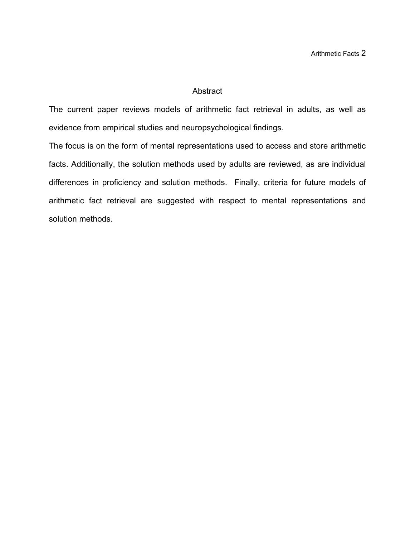### Abstract

The current paper reviews models of arithmetic fact retrieval in adults, as well as evidence from empirical studies and neuropsychological findings.

The focus is on the form of mental representations used to access and store arithmetic facts. Additionally, the solution methods used by adults are reviewed, as are individual differences in proficiency and solution methods. Finally, criteria for future models of arithmetic fact retrieval are suggested with respect to mental representations and solution methods.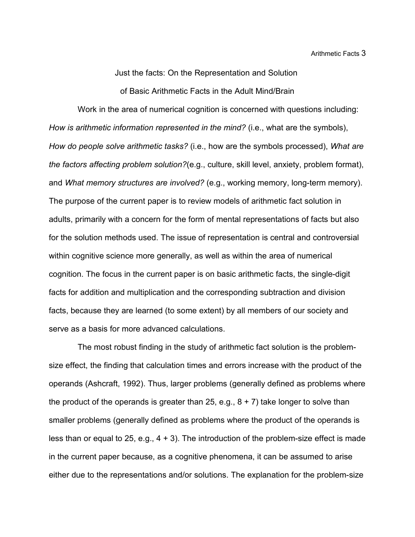Just the facts: On the Representation and Solution

of Basic Arithmetic Facts in the Adult Mind/Brain

Work in the area of numerical cognition is concerned with questions including: *How is arithmetic information represented in the mind?* (i.e., what are the symbols), *How do people solve arithmetic tasks?* (i.e., how are the symbols processed), *What are the factors affecting problem solution?*(e.g., culture, skill level, anxiety, problem format), and *What memory structures are involved?* (e.g., working memory, long-term memory). The purpose of the current paper is to review models of arithmetic fact solution in adults, primarily with a concern for the form of mental representations of facts but also for the solution methods used. The issue of representation is central and controversial within cognitive science more generally, as well as within the area of numerical cognition. The focus in the current paper is on basic arithmetic facts, the single-digit facts for addition and multiplication and the corresponding subtraction and division facts, because they are learned (to some extent) by all members of our society and serve as a basis for more advanced calculations.

The most robust finding in the study of arithmetic fact solution is the problemsize effect, the finding that calculation times and errors increase with the product of the operands (Ashcraft, 1992). Thus, larger problems (generally defined as problems where the product of the operands is greater than 25, e.g.,  $8 + 7$ ) take longer to solve than smaller problems (generally defined as problems where the product of the operands is less than or equal to 25, e.g., 4 + 3). The introduction of the problem-size effect is made in the current paper because, as a cognitive phenomena, it can be assumed to arise either due to the representations and/or solutions. The explanation for the problem-size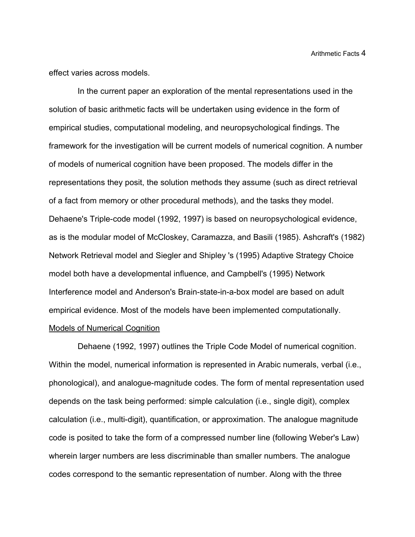effect varies across models.

In the current paper an exploration of the mental representations used in the solution of basic arithmetic facts will be undertaken using evidence in the form of empirical studies, computational modeling, and neuropsychological findings. The framework for the investigation will be current models of numerical cognition. A number of models of numerical cognition have been proposed. The models differ in the representations they posit, the solution methods they assume (such as direct retrieval of a fact from memory or other procedural methods), and the tasks they model. Dehaene's Triple-code model (1992, 1997) is based on neuropsychological evidence, as is the modular model of McCloskey, Caramazza, and Basili (1985). Ashcraft's (1982) Network Retrieval model and Siegler and Shipley 's (1995) Adaptive Strategy Choice model both have a developmental influence, and Campbell's (1995) Network Interference model and Anderson's Brain-state-in-a-box model are based on adult empirical evidence. Most of the models have been implemented computationally.

Dehaene (1992, 1997) outlines the Triple Code Model of numerical cognition. Within the model, numerical information is represented in Arabic numerals, verbal (i.e., phonological), and analogue-magnitude codes. The form of mental representation used depends on the task being performed: simple calculation (i.e., single digit), complex calculation (i.e., multi-digit), quantification, or approximation. The analogue magnitude code is posited to take the form of a compressed number line (following Weber's Law) wherein larger numbers are less discriminable than smaller numbers. The analogue codes correspond to the semantic representation of number. Along with the three

# Models of Numerical Cognition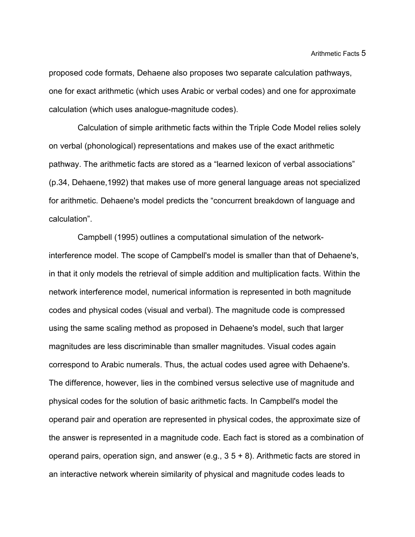proposed code formats, Dehaene also proposes two separate calculation pathways, one for exact arithmetic (which uses Arabic or verbal codes) and one for approximate calculation (which uses analogue-magnitude codes).

Calculation of simple arithmetic facts within the Triple Code Model relies solely on verbal (phonological) representations and makes use of the exact arithmetic pathway. The arithmetic facts are stored as a "learned lexicon of verbal associations" (p.34, Dehaene,1992) that makes use of more general language areas not specialized for arithmetic. Dehaene's model predicts the "concurrent breakdown of language and calculation".

Campbell (1995) outlines a computational simulation of the networkinterference model. The scope of Campbell's model is smaller than that of Dehaene's, in that it only models the retrieval of simple addition and multiplication facts. Within the network interference model, numerical information is represented in both magnitude codes and physical codes (visual and verbal). The magnitude code is compressed using the same scaling method as proposed in Dehaene's model, such that larger magnitudes are less discriminable than smaller magnitudes. Visual codes again correspond to Arabic numerals. Thus, the actual codes used agree with Dehaene's. The difference, however, lies in the combined versus selective use of magnitude and physical codes for the solution of basic arithmetic facts. In Campbell's model the operand pair and operation are represented in physical codes, the approximate size of the answer is represented in a magnitude code. Each fact is stored as a combination of operand pairs, operation sign, and answer (e.g.,  $3\ 5 + 8$ ). Arithmetic facts are stored in an interactive network wherein similarity of physical and magnitude codes leads to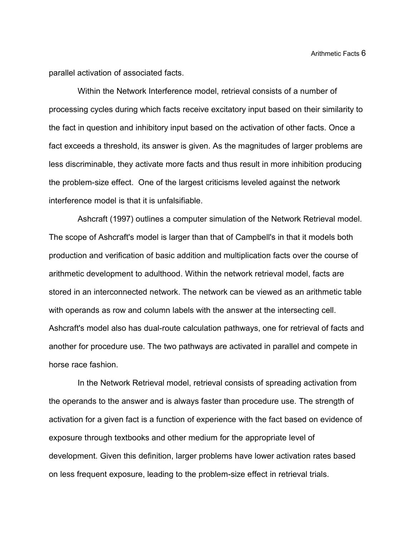parallel activation of associated facts.

Within the Network Interference model, retrieval consists of a number of processing cycles during which facts receive excitatory input based on their similarity to the fact in question and inhibitory input based on the activation of other facts. Once a fact exceeds a threshold, its answer is given. As the magnitudes of larger problems are less discriminable, they activate more facts and thus result in more inhibition producing the problem-size effect. One of the largest criticisms leveled against the network interference model is that it is unfalsifiable.

Ashcraft (1997) outlines a computer simulation of the Network Retrieval model. The scope of Ashcraft's model is larger than that of Campbell's in that it models both production and verification of basic addition and multiplication facts over the course of arithmetic development to adulthood. Within the network retrieval model, facts are stored in an interconnected network. The network can be viewed as an arithmetic table with operands as row and column labels with the answer at the intersecting cell. Ashcraft's model also has dual-route calculation pathways, one for retrieval of facts and another for procedure use. The two pathways are activated in parallel and compete in horse race fashion.

In the Network Retrieval model, retrieval consists of spreading activation from the operands to the answer and is always faster than procedure use. The strength of activation for a given fact is a function of experience with the fact based on evidence of exposure through textbooks and other medium for the appropriate level of development. Given this definition, larger problems have lower activation rates based on less frequent exposure, leading to the problem-size effect in retrieval trials.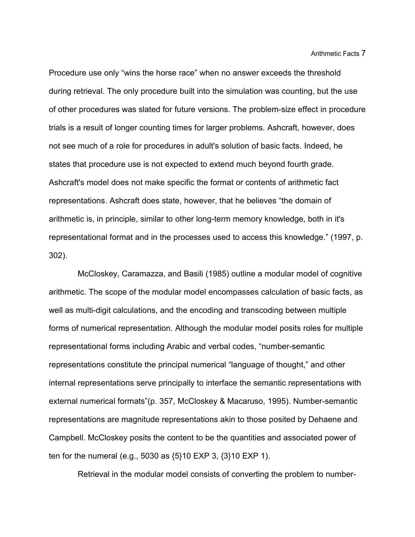Procedure use only "wins the horse race" when no answer exceeds the threshold during retrieval. The only procedure built into the simulation was counting, but the use of other procedures was slated for future versions. The problem-size effect in procedure trials is a result of longer counting times for larger problems. Ashcraft, however, does not see much of a role for procedures in adult's solution of basic facts. Indeed, he states that procedure use is not expected to extend much beyond fourth grade. Ashcraft's model does not make specific the format or contents of arithmetic fact representations. Ashcraft does state, however, that he believes "the domain of arithmetic is, in principle, similar to other long-term memory knowledge, both in it's representational format and in the processes used to access this knowledge." (1997, p. 302).

McCloskey, Caramazza, and Basili (1985) outline a modular model of cognitive arithmetic. The scope of the modular model encompasses calculation of basic facts, as well as multi-digit calculations, and the encoding and transcoding between multiple forms of numerical representation. Although the modular model posits roles for multiple representational forms including Arabic and verbal codes, "number-semantic representations constitute the principal numerical "language of thought," and other internal representations serve principally to interface the semantic representations with external numerical formats"(p. 357, McCloskey & Macaruso, 1995). Number-semantic representations are magnitude representations akin to those posited by Dehaene and Campbell. McCloskey posits the content to be the quantities and associated power of ten for the numeral (e.g., 5030 as {5}10 EXP 3, {3}10 EXP 1).

Retrieval in the modular model consists of converting the problem to number-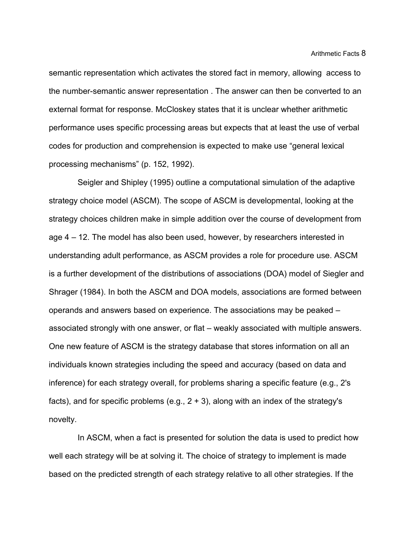semantic representation which activates the stored fact in memory, allowing access to the number-semantic answer representation . The answer can then be converted to an external format for response. McCloskey states that it is unclear whether arithmetic performance uses specific processing areas but expects that at least the use of verbal codes for production and comprehension is expected to make use "general lexical processing mechanisms" (p. 152, 1992).

Seigler and Shipley (1995) outline a computational simulation of the adaptive strategy choice model (ASCM). The scope of ASCM is developmental, looking at the strategy choices children make in simple addition over the course of development from age 4 – 12. The model has also been used, however, by researchers interested in understanding adult performance, as ASCM provides a role for procedure use. ASCM is a further development of the distributions of associations (DOA) model of Siegler and Shrager (1984). In both the ASCM and DOA models, associations are formed between operands and answers based on experience. The associations may be peaked – associated strongly with one answer, or flat – weakly associated with multiple answers. One new feature of ASCM is the strategy database that stores information on all an individuals known strategies including the speed and accuracy (based on data and inference) for each strategy overall, for problems sharing a specific feature (e.g., 2's facts), and for specific problems (e.g.,  $2 + 3$ ), along with an index of the strategy's novelty.

In ASCM, when a fact is presented for solution the data is used to predict how well each strategy will be at solving it. The choice of strategy to implement is made based on the predicted strength of each strategy relative to all other strategies. If the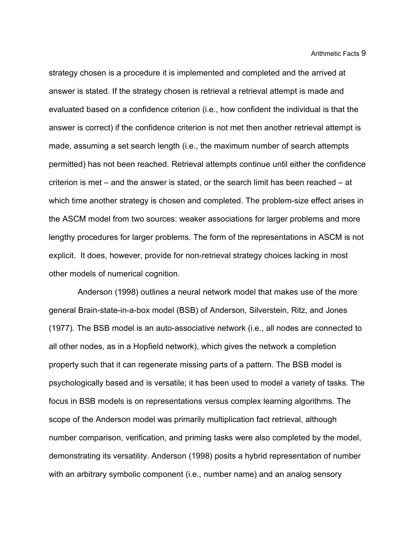strategy chosen is a procedure it is implemented and completed and the arrived at answer is stated. If the strategy chosen is retrieval a retrieval attempt is made and evaluated based on a confidence criterion (i.e., how confident the individual is that the answer is correct) if the confidence criterion is not met then another retrieval attempt is made, assuming a set search length (i.e., the maximum number of search attempts permitted) has not been reached. Retrieval attempts continue until either the confidence criterion is met – and the answer is stated, or the search limit has been reached – at which time another strategy is chosen and completed. The problem-size effect arises in the ASCM model from two sources: weaker associations for larger problems and more lengthy procedures for larger problems. The form of the representations in ASCM is not explicit. It does, however, provide for non-retrieval strategy choices lacking in most other models of numerical cognition.

Anderson (1998) outlines a neural network model that makes use of the more general Brain-state-in-a-box model (BSB) of Anderson, Silverstein, Ritz, and Jones (1977). The BSB model is an auto-associative network (i.e., all nodes are connected to all other nodes, as in a Hopfield network), which gives the network a completion property such that it can regenerate missing parts of a pattern. The BSB model is psychologically based and is versatile; it has been used to model a variety of tasks. The focus in BSB models is on representations versus complex learning algorithms. The scope of the Anderson model was primarily multiplication fact retrieval, although number comparison, verification, and priming tasks were also completed by the model, demonstrating its versatility. Anderson (1998) posits a hybrid representation of number with an arbitrary symbolic component (i.e., number name) and an analog sensory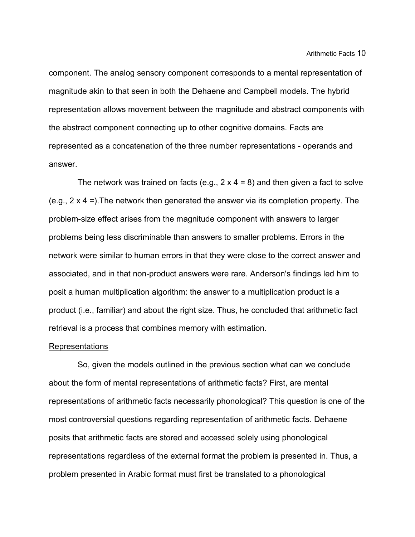component. The analog sensory component corresponds to a mental representation of magnitude akin to that seen in both the Dehaene and Campbell models. The hybrid representation allows movement between the magnitude and abstract components with the abstract component connecting up to other cognitive domains. Facts are represented as a concatenation of the three number representations - operands and answer.

The network was trained on facts (e.g.,  $2 \times 4 = 8$ ) and then given a fact to solve (e.g., 2 x 4 =).The network then generated the answer via its completion property. The problem-size effect arises from the magnitude component with answers to larger problems being less discriminable than answers to smaller problems. Errors in the network were similar to human errors in that they were close to the correct answer and associated, and in that non-product answers were rare. Anderson's findings led him to posit a human multiplication algorithm: the answer to a multiplication product is a product (i.e., familiar) and about the right size. Thus, he concluded that arithmetic fact retrieval is a process that combines memory with estimation.

### Representations

So, given the models outlined in the previous section what can we conclude about the form of mental representations of arithmetic facts? First, are mental representations of arithmetic facts necessarily phonological? This question is one of the most controversial questions regarding representation of arithmetic facts. Dehaene posits that arithmetic facts are stored and accessed solely using phonological representations regardless of the external format the problem is presented in. Thus, a problem presented in Arabic format must first be translated to a phonological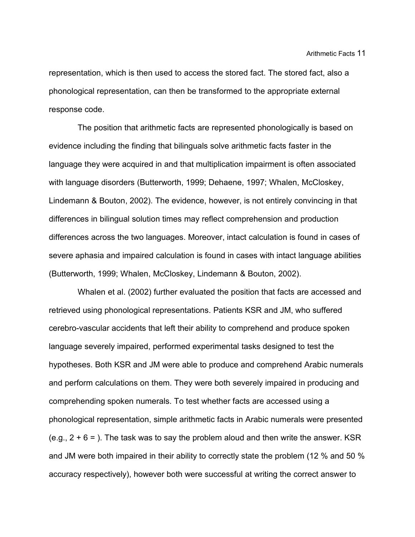representation, which is then used to access the stored fact. The stored fact, also a phonological representation, can then be transformed to the appropriate external response code.

The position that arithmetic facts are represented phonologically is based on evidence including the finding that bilinguals solve arithmetic facts faster in the language they were acquired in and that multiplication impairment is often associated with language disorders (Butterworth, 1999; Dehaene, 1997; Whalen, McCloskey, Lindemann & Bouton, 2002). The evidence, however, is not entirely convincing in that differences in bilingual solution times may reflect comprehension and production differences across the two languages. Moreover, intact calculation is found in cases of severe aphasia and impaired calculation is found in cases with intact language abilities (Butterworth, 1999; Whalen, McCloskey, Lindemann & Bouton, 2002).

Whalen et al. (2002) further evaluated the position that facts are accessed and retrieved using phonological representations. Patients KSR and JM, who suffered cerebro-vascular accidents that left their ability to comprehend and produce spoken language severely impaired, performed experimental tasks designed to test the hypotheses. Both KSR and JM were able to produce and comprehend Arabic numerals and perform calculations on them. They were both severely impaired in producing and comprehending spoken numerals. To test whether facts are accessed using a phonological representation, simple arithmetic facts in Arabic numerals were presented (e.g.,  $2 + 6 =$ ). The task was to say the problem aloud and then write the answer. KSR and JM were both impaired in their ability to correctly state the problem (12 % and 50 % accuracy respectively), however both were successful at writing the correct answer to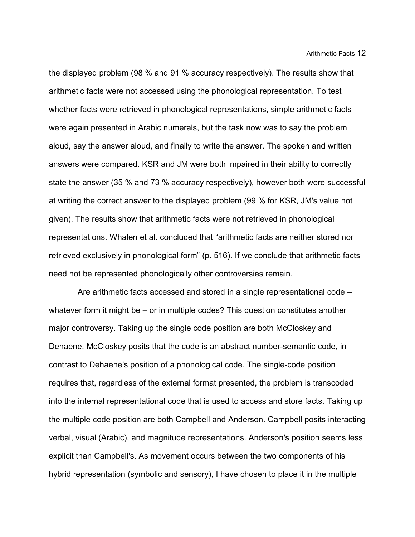the displayed problem (98 % and 91 % accuracy respectively). The results show that arithmetic facts were not accessed using the phonological representation. To test whether facts were retrieved in phonological representations, simple arithmetic facts were again presented in Arabic numerals, but the task now was to say the problem aloud, say the answer aloud, and finally to write the answer. The spoken and written answers were compared. KSR and JM were both impaired in their ability to correctly state the answer (35 % and 73 % accuracy respectively), however both were successful at writing the correct answer to the displayed problem (99 % for KSR, JM's value not given). The results show that arithmetic facts were not retrieved in phonological representations. Whalen et al. concluded that "arithmetic facts are neither stored nor retrieved exclusively in phonological form" (p. 516). If we conclude that arithmetic facts need not be represented phonologically other controversies remain.

Are arithmetic facts accessed and stored in a single representational code – whatever form it might be – or in multiple codes? This question constitutes another major controversy. Taking up the single code position are both McCloskey and Dehaene. McCloskey posits that the code is an abstract number-semantic code, in contrast to Dehaene's position of a phonological code. The single-code position requires that, regardless of the external format presented, the problem is transcoded into the internal representational code that is used to access and store facts. Taking up the multiple code position are both Campbell and Anderson. Campbell posits interacting verbal, visual (Arabic), and magnitude representations. Anderson's position seems less explicit than Campbell's. As movement occurs between the two components of his hybrid representation (symbolic and sensory), I have chosen to place it in the multiple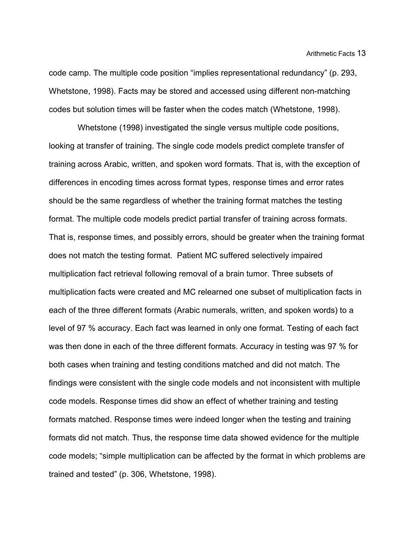code camp. The multiple code position "implies representational redundancy" (p. 293, Whetstone, 1998). Facts may be stored and accessed using different non-matching codes but solution times will be faster when the codes match (Whetstone, 1998).

Whetstone (1998) investigated the single versus multiple code positions, looking at transfer of training. The single code models predict complete transfer of training across Arabic, written, and spoken word formats. That is, with the exception of differences in encoding times across format types, response times and error rates should be the same regardless of whether the training format matches the testing format. The multiple code models predict partial transfer of training across formats. That is, response times, and possibly errors, should be greater when the training format does not match the testing format. Patient MC suffered selectively impaired multiplication fact retrieval following removal of a brain tumor. Three subsets of multiplication facts were created and MC relearned one subset of multiplication facts in each of the three different formats (Arabic numerals, written, and spoken words) to a level of 97 % accuracy. Each fact was learned in only one format. Testing of each fact was then done in each of the three different formats. Accuracy in testing was 97 % for both cases when training and testing conditions matched and did not match. The findings were consistent with the single code models and not inconsistent with multiple code models. Response times did show an effect of whether training and testing formats matched. Response times were indeed longer when the testing and training formats did not match. Thus, the response time data showed evidence for the multiple code models; "simple multiplication can be affected by the format in which problems are trained and tested" (p. 306, Whetstone, 1998).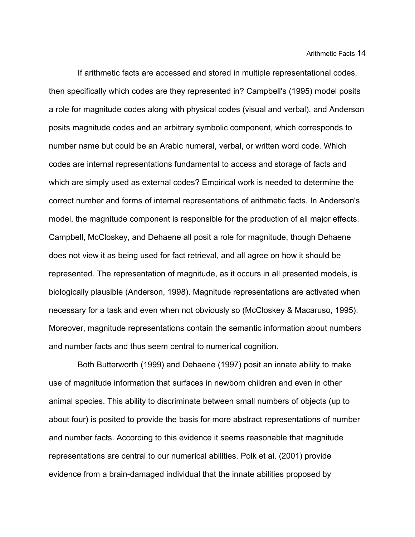If arithmetic facts are accessed and stored in multiple representational codes, then specifically which codes are they represented in? Campbell's (1995) model posits a role for magnitude codes along with physical codes (visual and verbal), and Anderson posits magnitude codes and an arbitrary symbolic component, which corresponds to number name but could be an Arabic numeral, verbal, or written word code. Which codes are internal representations fundamental to access and storage of facts and which are simply used as external codes? Empirical work is needed to determine the correct number and forms of internal representations of arithmetic facts. In Anderson's model, the magnitude component is responsible for the production of all major effects. Campbell, McCloskey, and Dehaene all posit a role for magnitude, though Dehaene does not view it as being used for fact retrieval, and all agree on how it should be represented. The representation of magnitude, as it occurs in all presented models, is biologically plausible (Anderson, 1998). Magnitude representations are activated when necessary for a task and even when not obviously so (McCloskey & Macaruso, 1995). Moreover, magnitude representations contain the semantic information about numbers and number facts and thus seem central to numerical cognition.

Both Butterworth (1999) and Dehaene (1997) posit an innate ability to make use of magnitude information that surfaces in newborn children and even in other animal species. This ability to discriminate between small numbers of objects (up to about four) is posited to provide the basis for more abstract representations of number and number facts. According to this evidence it seems reasonable that magnitude representations are central to our numerical abilities. Polk et al. (2001) provide evidence from a brain-damaged individual that the innate abilities proposed by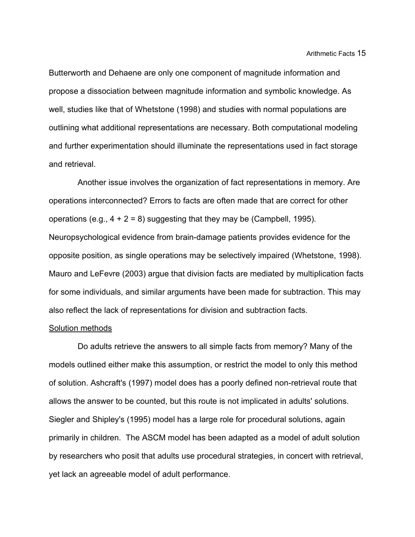Butterworth and Dehaene are only one component of magnitude information and propose a dissociation between magnitude information and symbolic knowledge. As well, studies like that of Whetstone (1998) and studies with normal populations are outlining what additional representations are necessary. Both computational modeling and further experimentation should illuminate the representations used in fact storage and retrieval.

Another issue involves the organization of fact representations in memory. Are operations interconnected? Errors to facts are often made that are correct for other operations (e.g.,  $4 + 2 = 8$ ) suggesting that they may be (Campbell, 1995). Neuropsychological evidence from brain-damage patients provides evidence for the opposite position, as single operations may be selectively impaired (Whetstone, 1998). Mauro and LeFevre (2003) argue that division facts are mediated by multiplication facts for some individuals, and similar arguments have been made for subtraction. This may also reflect the lack of representations for division and subtraction facts.

#### Solution methods

Do adults retrieve the answers to all simple facts from memory? Many of the models outlined either make this assumption, or restrict the model to only this method of solution. Ashcraft's (1997) model does has a poorly defined non-retrieval route that allows the answer to be counted, but this route is not implicated in adults' solutions. Siegler and Shipley's (1995) model has a large role for procedural solutions, again primarily in children. The ASCM model has been adapted as a model of adult solution by researchers who posit that adults use procedural strategies, in concert with retrieval, yet lack an agreeable model of adult performance.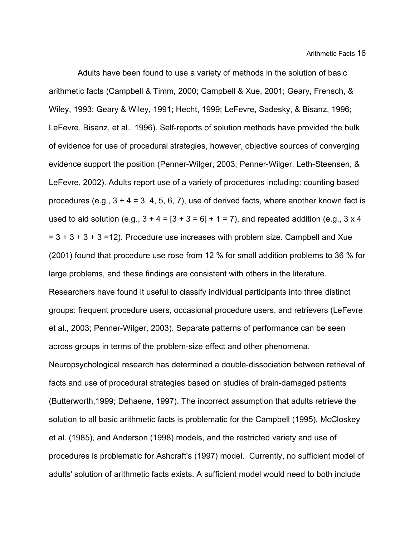Adults have been found to use a variety of methods in the solution of basic arithmetic facts (Campbell & Timm, 2000; Campbell & Xue, 2001; Geary, Frensch, & Wiley, 1993; Geary & Wiley, 1991; Hecht, 1999; LeFevre, Sadesky, & Bisanz, 1996; LeFevre, Bisanz, et al., 1996). Self-reports of solution methods have provided the bulk of evidence for use of procedural strategies, however, objective sources of converging evidence support the position (Penner-Wilger, 2003; Penner-Wilger, Leth-Steensen, & LeFevre, 2002). Adults report use of a variety of procedures including: counting based procedures (e.g.,  $3 + 4 = 3, 4, 5, 6, 7$ ), use of derived facts, where another known fact is used to aid solution (e.g.,  $3 + 4 = [3 + 3 = 6] + 1 = 7$ ), and repeated addition (e.g.,  $3 \times 4$  $= 3 + 3 + 3 + 3 = 12$ . Procedure use increases with problem size. Campbell and Xue (2001) found that procedure use rose from 12 % for small addition problems to 36 % for large problems, and these findings are consistent with others in the literature. Researchers have found it useful to classify individual participants into three distinct groups: frequent procedure users, occasional procedure users, and retrievers (LeFevre et al., 2003; Penner-Wilger, 2003). Separate patterns of performance can be seen across groups in terms of the problem-size effect and other phenomena. Neuropsychological research has determined a double-dissociation between retrieval of facts and use of procedural strategies based on studies of brain-damaged patients (Butterworth,1999; Dehaene, 1997). The incorrect assumption that adults retrieve the solution to all basic arithmetic facts is problematic for the Campbell (1995), McCloskey et al. (1985), and Anderson (1998) models, and the restricted variety and use of procedures is problematic for Ashcraft's (1997) model. Currently, no sufficient model of adults' solution of arithmetic facts exists. A sufficient model would need to both include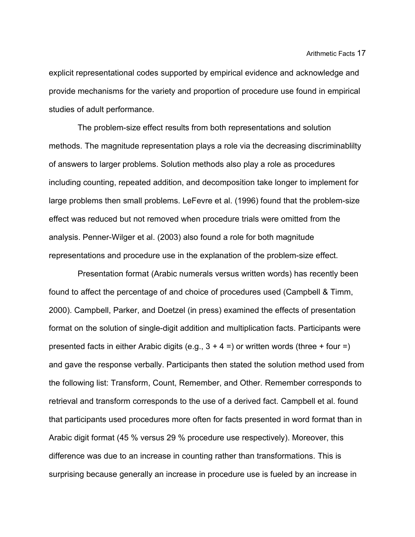explicit representational codes supported by empirical evidence and acknowledge and provide mechanisms for the variety and proportion of procedure use found in empirical studies of adult performance.

The problem-size effect results from both representations and solution methods. The magnitude representation plays a role via the decreasing discriminablilty of answers to larger problems. Solution methods also play a role as procedures including counting, repeated addition, and decomposition take longer to implement for large problems then small problems. LeFevre et al. (1996) found that the problem-size effect was reduced but not removed when procedure trials were omitted from the analysis. Penner-Wilger et al. (2003) also found a role for both magnitude representations and procedure use in the explanation of the problem-size effect.

Presentation format (Arabic numerals versus written words) has recently been found to affect the percentage of and choice of procedures used (Campbell & Timm, 2000). Campbell, Parker, and Doetzel (in press) examined the effects of presentation format on the solution of single-digit addition and multiplication facts. Participants were presented facts in either Arabic digits (e.g.,  $3 + 4 =$ ) or written words (three + four =) and gave the response verbally. Participants then stated the solution method used from the following list: Transform, Count, Remember, and Other. Remember corresponds to retrieval and transform corresponds to the use of a derived fact. Campbell et al. found that participants used procedures more often for facts presented in word format than in Arabic digit format (45 % versus 29 % procedure use respectively). Moreover, this difference was due to an increase in counting rather than transformations. This is surprising because generally an increase in procedure use is fueled by an increase in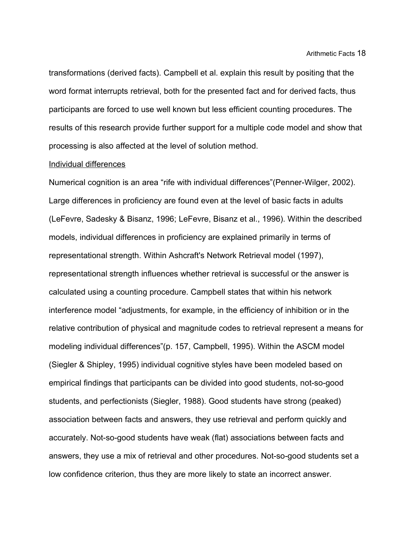transformations (derived facts). Campbell et al. explain this result by positing that the word format interrupts retrieval, both for the presented fact and for derived facts, thus participants are forced to use well known but less efficient counting procedures. The results of this research provide further support for a multiple code model and show that processing is also affected at the level of solution method.

# Individual differences

Numerical cognition is an area "rife with individual differences"(Penner-Wilger, 2002). Large differences in proficiency are found even at the level of basic facts in adults (LeFevre, Sadesky & Bisanz, 1996; LeFevre, Bisanz et al., 1996). Within the described models, individual differences in proficiency are explained primarily in terms of representational strength. Within Ashcraft's Network Retrieval model (1997), representational strength influences whether retrieval is successful or the answer is calculated using a counting procedure. Campbell states that within his network interference model "adjustments, for example, in the efficiency of inhibition or in the relative contribution of physical and magnitude codes to retrieval represent a means for modeling individual differences"(p. 157, Campbell, 1995). Within the ASCM model (Siegler & Shipley, 1995) individual cognitive styles have been modeled based on empirical findings that participants can be divided into good students, not-so-good students, and perfectionists (Siegler, 1988). Good students have strong (peaked) association between facts and answers, they use retrieval and perform quickly and accurately. Not-so-good students have weak (flat) associations between facts and answers, they use a mix of retrieval and other procedures. Not-so-good students set a low confidence criterion, thus they are more likely to state an incorrect answer.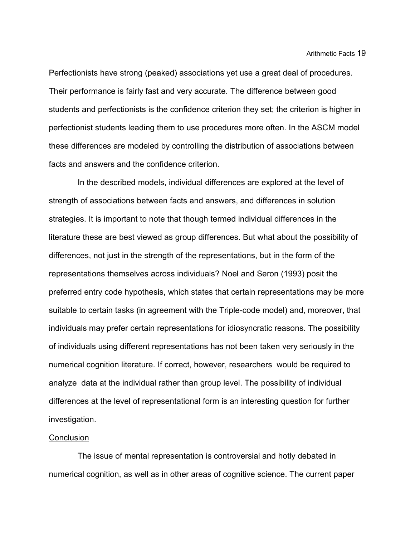Perfectionists have strong (peaked) associations yet use a great deal of procedures. Their performance is fairly fast and very accurate. The difference between good students and perfectionists is the confidence criterion they set; the criterion is higher in perfectionist students leading them to use procedures more often. In the ASCM model these differences are modeled by controlling the distribution of associations between facts and answers and the confidence criterion.

In the described models, individual differences are explored at the level of strength of associations between facts and answers, and differences in solution strategies. It is important to note that though termed individual differences in the literature these are best viewed as group differences. But what about the possibility of differences, not just in the strength of the representations, but in the form of the representations themselves across individuals? Noel and Seron (1993) posit the preferred entry code hypothesis, which states that certain representations may be more suitable to certain tasks (in agreement with the Triple-code model) and, moreover, that individuals may prefer certain representations for idiosyncratic reasons. The possibility of individuals using different representations has not been taken very seriously in the numerical cognition literature. If correct, however, researchers would be required to analyze data at the individual rather than group level. The possibility of individual differences at the level of representational form is an interesting question for further investigation.

# **Conclusion**

The issue of mental representation is controversial and hotly debated in numerical cognition, as well as in other areas of cognitive science. The current paper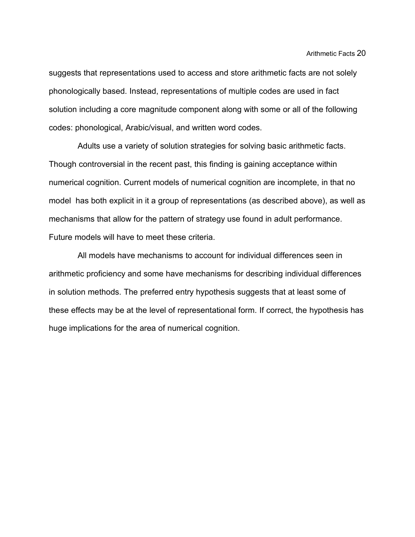suggests that representations used to access and store arithmetic facts are not solely phonologically based. Instead, representations of multiple codes are used in fact solution including a core magnitude component along with some or all of the following codes: phonological, Arabic/visual, and written word codes.

Adults use a variety of solution strategies for solving basic arithmetic facts. Though controversial in the recent past, this finding is gaining acceptance within numerical cognition. Current models of numerical cognition are incomplete, in that no model has both explicit in it a group of representations (as described above), as well as mechanisms that allow for the pattern of strategy use found in adult performance. Future models will have to meet these criteria.

All models have mechanisms to account for individual differences seen in arithmetic proficiency and some have mechanisms for describing individual differences in solution methods. The preferred entry hypothesis suggests that at least some of these effects may be at the level of representational form. If correct, the hypothesis has huge implications for the area of numerical cognition.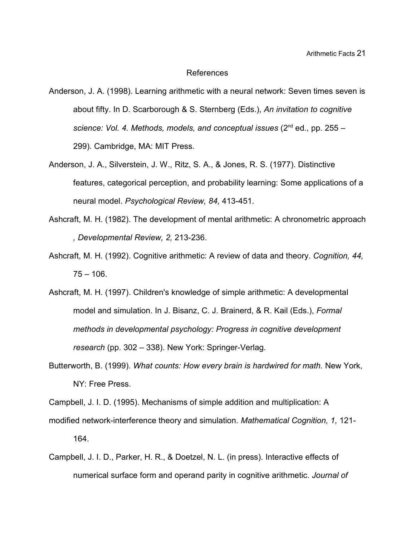#### References

- Anderson, J. A. (1998). Learning arithmetic with a neural network: Seven times seven is about fifty. In D. Scarborough & S. Sternberg (Eds.), *An invitation to cognitive* science: Vol. 4. Methods, models, and conceptual issues (2<sup>nd</sup> ed., pp. 255 – 299). Cambridge, MA: MIT Press.
- Anderson, J. A., Silverstein, J. W., Ritz, S. A., & Jones, R. S. (1977). Distinctive features, categorical perception, and probability learning: Some applications of a neural model. *Psychological Review, 84,* 413-451.
- Ashcraft, M. H. (1982). The development of mental arithmetic: A chronometric approach *, Developmental Review, 2,* 213-236.
- Ashcraft, M. H. (1992). Cognitive arithmetic: A review of data and theory. *Cognition, 44,*  $75 - 106$ .
- Ashcraft, M. H. (1997). Children's knowledge of simple arithmetic: A developmental model and simulation. In J. Bisanz, C. J. Brainerd, & R. Kail (Eds.), *Formal methods in developmental psychology: Progress in cognitive development research* (pp. 302 – 338). New York: Springer-Verlag.
- Butterworth, B. (1999). *What counts: How every brain is hardwired for math.* New York, NY: Free Press.
- Campbell, J. I. D. (1995). Mechanisms of simple addition and multiplication: A
- modified network-interference theory and simulation. *Mathematical Cognition, 1,* 121- 164.
- Campbell, J. I. D., Parker, H. R., & Doetzel, N. L. (in press). Interactive effects of numerical surface form and operand parity in cognitive arithmetic. *Journal of*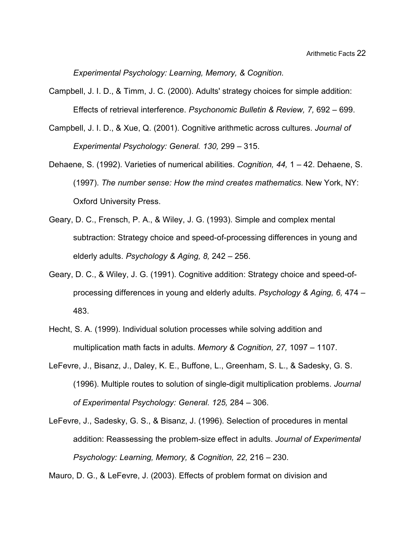*Experimental Psychology: Learning, Memory, & Cognition.*

- Campbell, J. I. D., & Timm, J. C. (2000). Adults' strategy choices for simple addition: Effects of retrieval interference. *Psychonomic Bulletin & Review, 7,* 692 – 699.
- Campbell, J. I. D., & Xue, Q. (2001). Cognitive arithmetic across cultures. *Journal of Experimental Psychology: General. 130,* 299 – 315.
- Dehaene, S. (1992). Varieties of numerical abilities. *Cognition, 44,* 1 42. Dehaene, S. (1997). *The number sense: How the mind creates mathematics.* New York, NY: Oxford University Press.
- Geary, D. C., Frensch, P. A., & Wiley, J. G. (1993). Simple and complex mental subtraction: Strategy choice and speed-of-processing differences in young and elderly adults. *Psychology & Aging, 8,* 242 – 256.
- Geary, D. C., & Wiley, J. G. (1991). Cognitive addition: Strategy choice and speed-ofprocessing differences in young and elderly adults. *Psychology & Aging, 6,* 474 – 483.
- Hecht, S. A. (1999). Individual solution processes while solving addition and multiplication math facts in adults. *Memory & Cognition, 27,* 1097 – 1107.
- LeFevre, J., Bisanz, J., Daley, K. E., Buffone, L., Greenham, S. L., & Sadesky, G. S. (1996). Multiple routes to solution of single-digit multiplication problems. *Journal of Experimental Psychology: General. 125,* 284 – 306.
- LeFevre, J., Sadesky, G. S., & Bisanz, J. (1996). Selection of procedures in mental addition: Reassessing the problem-size effect in adults. *Journal of Experimental Psychology: Learning, Memory, & Cognition, 22,* 216 – 230.

Mauro, D. G., & LeFevre, J. (2003). Effects of problem format on division and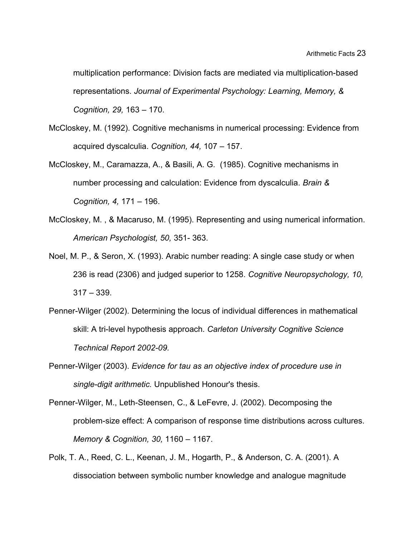multiplication performance: Division facts are mediated via multiplication-based representations. *Journal of Experimental Psychology: Learning, Memory, & Cognition, 29,* 163 – 170.

- McCloskey, M. (1992). Cognitive mechanisms in numerical processing: Evidence from acquired dyscalculia. *Cognition, 44,* 107 – 157.
- McCloskey, M., Caramazza, A., & Basili, A. G. (1985). Cognitive mechanisms in number processing and calculation: Evidence from dyscalculia. *Brain & Cognition, 4,* 171 – 196.
- McCloskey, M. , & Macaruso, M. (1995). Representing and using numerical information. *American Psychologist, 50,* 351- 363.
- Noel, M. P., & Seron, X. (1993). Arabic number reading: A single case study or when 236 is read (2306) and judged superior to 1258. *Cognitive Neuropsychology, 10,* 317 – 339.
- Penner-Wilger (2002). Determining the locus of individual differences in mathematical skill: A tri-level hypothesis approach. *Carleton University Cognitive Science Technical Report 2002-09.*
- Penner-Wilger (2003). *Evidence for tau as an objective index of procedure use in single-digit arithmetic.* Unpublished Honour's thesis.
- Penner-Wilger, M., Leth-Steensen, C., & LeFevre, J. (2002). Decomposing the problem-size effect: A comparison of response time distributions across cultures. *Memory & Cognition, 30,* 1160 – 1167.
- Polk, T. A., Reed, C. L., Keenan, J. M., Hogarth, P., & Anderson, C. A. (2001). A dissociation between symbolic number knowledge and analogue magnitude